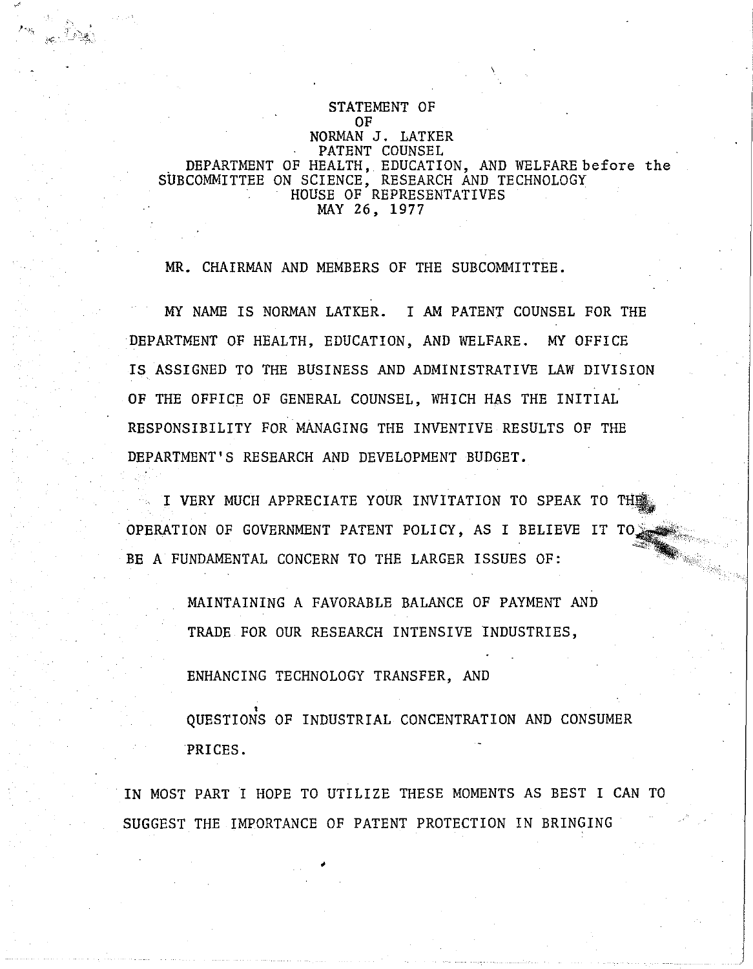## STATEMENT OF OF NORMAN J. LATKER PATENT COUNSEL DEPARTMENT OF HEALTH, EDUCATION, AND WELFARE before the SUBCOMMITTEE ON SCIENCE, RESEARCH AND TECHNOLOGY HOUSE OF REPRESENTATIVES MAY 26, 1977

MR. CHAIRMAN AND MEMBERS OF THE SUBCOMMITTEE.

MY NAME IS NORMAN LATKER. I AM PATENT COUNSEL FOR THE DEPARTMENT OF HEALTH, EDUCATION, AND WELFARE. MY OFFICE IS ASSIGNED TO THE BUSINESS AND ADMINISTRATIVE LAW DIVISION OF THE OFFICE OF GENERAL COUNSEL, WHICH HAS THE INITIAL RESPONSIBILITY FOR MANAGING THE INVENTIVE RESULTS OF THE DEPARTMENT'S RESEARCH AND DEVELOPMENT BUDGET.

I VERY MUCH APPRECIATE YOUR INVITATION TO SPEAK TO THE OPERATION OF GOVERNMENT PATENT POLICY, AS I BELIEVE IT TO BE A FUNDAMENTAL CONCERN TO THE LARGER ISSUES OF:

> MAINTAINING A FAVORABLE BALANCE OF PAYMENT AND TRADE FOR OUR RESEARCH INTENSIVE INDUSTRIES,

ENHANCING TECHNOLOGY TRANSFER, AND

•

, QUESTIONS OF INDUSTRIAL CONCENTRATION AND CONSUMER PRICES.

j

IN MOST PART I HOPE TO UTILIZE THESE MOMENTS AS BEST I CAN TO SUGGEST THE IMPORTANCE OF PATENT PROTECTION IN BRINGING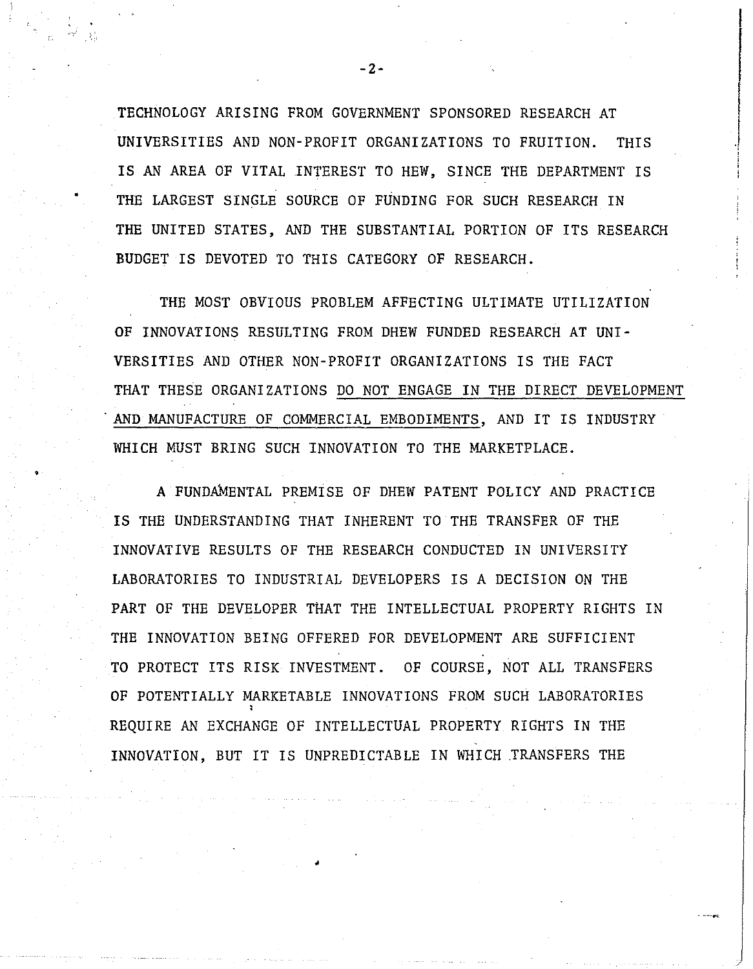TECHNOLOGY ARISING FROM GOVERNMENT SPONSORED RESEARCH AT UNIVERSITIES AND NON-PROFIT ORGANIZATIONS TO FRUITION. THIS IS AN AREA OF VITAL INTEREST TO HEW, SINCE THE DEPARTMENT IS THE LARGEST SINGLE SOURCE OF FUNDING FOR SUCH RESEARCH IN THE UNITED STATES, AND THE SUBSTANTIAL PORTION OF ITS RESEARCH BUDGET IS DEVOTED TO THIS CATEGORY OF RESEARCH.

.) , i<br>| ; i

•

THE MOST OBVIOUS PROBLEM AFFECTING ULTIMATE UTILIZATION OF INNOVATIONS RESULTING FROM DHEW FUNDED RESEARCH AT UNI-VERSITIES AND OTHER NON-PROFIT ORGANIZATIONS IS THE FACT THAT THESE ORGANIZATIONS DO NOT ENGAGE IN THE DIRECT DEVELOPMENT . AND MANUFACTURE OF COMMERCIAL EMBODIMENTS, AND IT IS INDUSTRY WHICH MUST BRING SUCH INNOVATION TO THE MARKETPLACE.

A FUNDAMENTAL PREMISE OF DHEW PATENT POLICY AND PRACTICE IS THE UNDERSTANDING THAT INHERENT TO THE TRANSFER OF THE INNOVATIVE RESULTS OF THE RESEARCH CONDUCTED IN UNIVERSITY LABORATORIES TO INDUSTRIAL DEVELOPERS IS A DECISION ON THE PART OF THE DEVELOPER THAT THE INTELLECTUAL PROPERTY RIGHTS IN THE INNOVATION BEING OFFERED FOR DEVELOPMENT ARE SUFFICIENT TO PROTECT ITS RISK INVESTMENT. OF COURSE, NOT ALL TRANSFERS OF POTENTIALLY MARKETABLE INNOVATIONS FROM SUCH LABORATORIES REQUIRE AN EXCHANGE OF INTELLECTUAL PROPERTY RIGHTS IN THE INNOVATION, BUT IT IS UNPREDICTABLE IN WHICH .TRANSFERS THE

-2-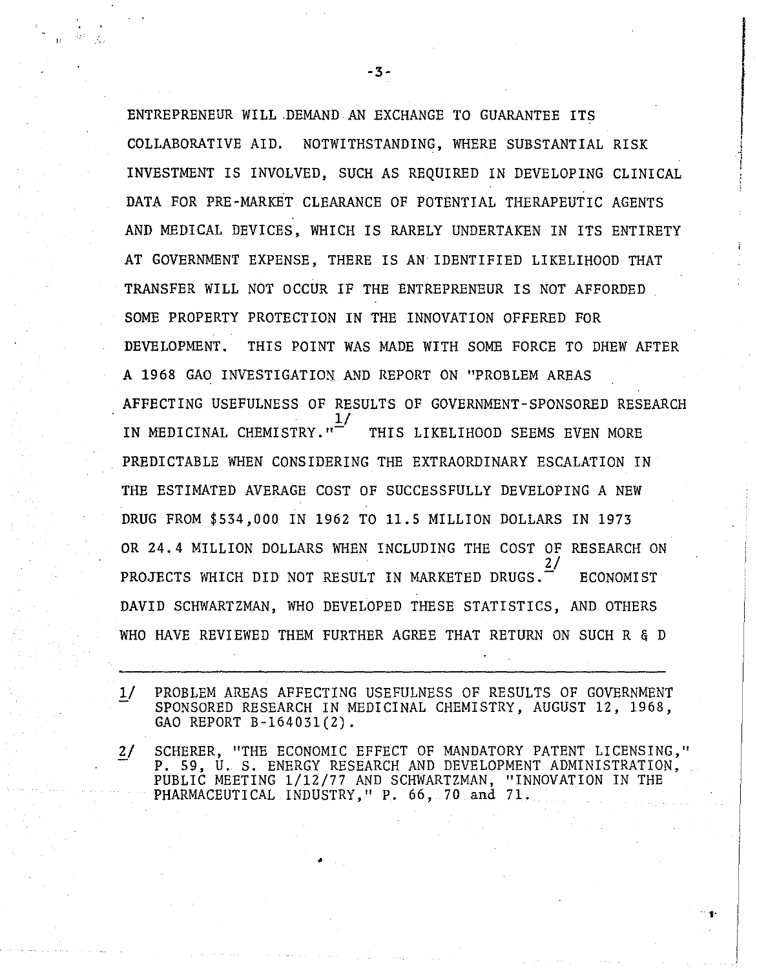ENTREPRENEUR WILL .DEMANDAN EXCHANGE TO GUARANTEE ITS COLLABORATIVE AID. NOTWITHSTANDING, WHERE SUBSTANTIAL RISK INVESTMENT IS INVOLVED, SUCH AS REQUIRED IN DEVELOPING CLINICAL DATA FOR PRE-MARKET CLEARANCE OF POTENTIAL THERAPEUTIC AGENTS AND MEDICAL DEVICES, WHICH IS RARELY UNDERTAKEN IN ITS ENTIRETY AT GOVERNMENT EXPENSE, THERE IS AN IDENTIFIED LIKELIHOOD THAT TRANSFER WILL NOT OCCUR IF THE ENTREPRENEUR IS NOT AFFORDED SOME PROPERTY PROTECTION IN THE INNOVATION OFFERED FOR DEVELOPMENT. THIS POINT WAS MADE WITH SOME FORCE TO DHEW AFTER A 1968 GAO INVESTIGATION AND REPORT ON "PROBLEM AREAS AFFECTING USEFULNESS OF RESULTS OF GOVERNMENT-SPONSORED RESEARCH  $\overline{17}$ IN MEDICINAL CHEMISTRY."<sup>-</sup> THIS LIKELIHOOD SEEMS EVEN MORE PREDICTABLE WHEN CONSIDERING THE EXTRAORDINARY ESCALATION IN THE ESTIMATED AVERAGE COST OF SUCCESSFULLY DEVELOPING A NEW DRUG FROM \$534,000 IN 1962 TO **11.5** MILLION DOLLARS IN 1973 OR 24.4 MILLION DOLLARS WHEN INCLUDING THE COST OF RESEARCH ON 2/ PROJECTS WHICH DID NOT RESULT IN MARKETED DRUGS. ECONOMIST DAVID SCHWARTZMAN, WHO DEVELOPED THESE STATISTICS, AND OTHERS WHO HAVE REVIEWED THEM FURTHER AGREE THAT RETURN ON SUCH R & D

 $1/$ PROBLEM AREAS AFFECTING USEFULNESS OF RESULTS OF GOVERNMENT SPONSORED RESEARCH IN MEDICINAL CHEMISTRY, AUGUST 12, 1968, GAO REPORT B-164031(2).

*y*  SCHERER, "THE ECONOMIC EFFECT OF MANDATORY PATENT LICENSING," P. 59, U. S. ENERGY RESEARCH AND DEVELOPMENT ADMINISTRATION, PUBLIC MEETING 1/12/77 AND SCHWARTZMAN, "INNOVATION IN THE PHARMACEUTICAL INDUSTRY, "P. 66, 70 and 71.

 $\sim$  fy  $\,$ 

**-3-**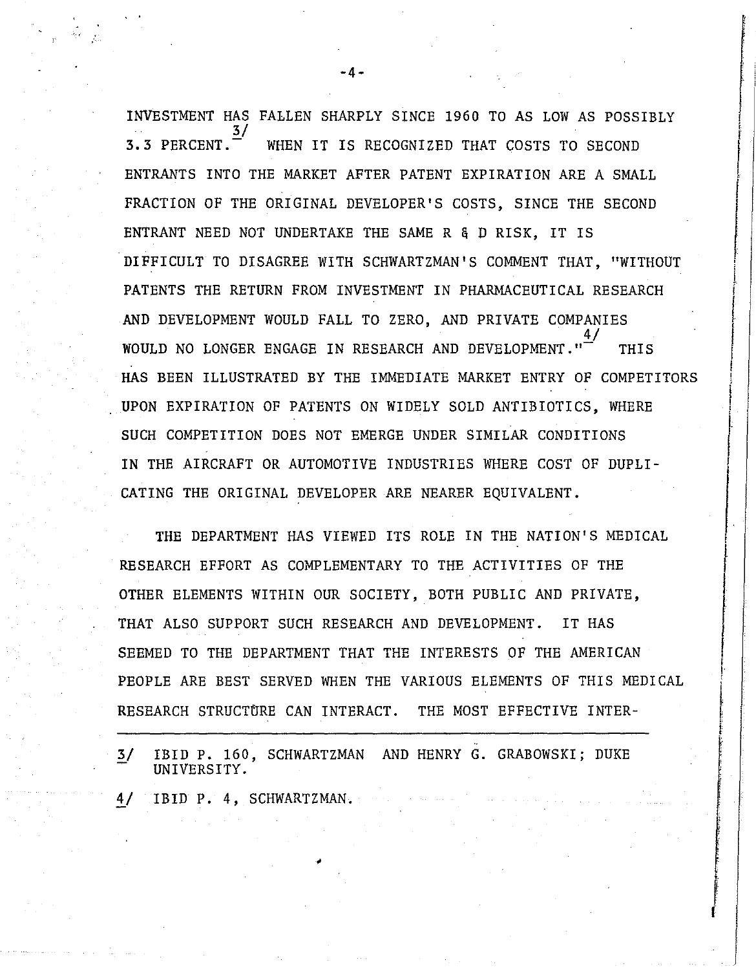INVESTMENT HAS FALLEN SHARPLY SINCE 1960 TO AS LOW AS POSSIBLY  $\frac{3}{ }$ 3.3 PERCENT.- WHEN IT IS RECOGNIZED THAT COSTS TO SECOND ENTRANTS INTO THE MARKET AFTER PATENT EXPIRATION ARE A SMALL FRACTION OF THE ORIGINAL DEVELOPER'S COSTS, SINCE THE SECOND ENTRANT NEED NOT UNDERTAKE THE SAME R&D RISK, IT IS DIFFICULT TO DISAGREE WITH SCHWARTZMAN'S COMMENT THAT, "WITHOUT PATENTS THE RETURN FROM INVESTMENT IN PHARMACEUTICAL RESEARCH AND DEVELOPMENT WOULD FALL TO ZERO, AND PRIVATE COMPANIES WOULD NO LONGER ENGAGE IN RESEARCH AND DEVELOPMENT." THIS HAS BEEN ILLUSTRATED BY THE IMMEDIATE MARKET ENTRY OF COMPETITORS UPON EXPIRATION OF PATENTS ON WIDELY SOLD ANTIBIOTICS, WHERE SUCH COMPETITION DOES NOT EMERGE UNDER SIMILAR CONDITIONS IN THE AIRCRAFT OR AUTOMOTIVE INDUSTRIES WHERE COST OF DUPLI-CATING THE ORIGINAL DEVELOPER ARE NEARER EQUIVALENT.

THE DEPARTMENT HAS VIEWED ITS ROLE IN THE NATION'S MEDICAL RESEARCH EFFORT AS COMPLEMENTARY TO THE ACTIVITIES OF THE OTHER ELEMENTS WITHIN OUR SOCIETY, BOTH PUBLIC AND PRIVATE, THAT ALSO SUPPORT SUCH RESEARCH AND DEVELOPMENT. IT HAS SEEMED TO THE DEPARTMENT THAT THE INTERESTS OF THE AMERICAN PEOPLE ARE BEST SERVED WHEN THE VARIOUS ELEMENTS OF THIS MEDICAL RESEARCH STRUCTURE CAN INTERACT. THE MOST EFFECTIVE INTER-

I

i<br>I

i<br>International and the community of the community of the community of the community of the community of the com

in a la registrata del proporto del construito del construito del construito del construito del construito del

I<br>I de la companya de la companya de la companya de la companya de la companya de la companya de la companya de<br>Instituto de la companya de la companya de la companya de la companya de la companya de la companya de la comp

i

f

! r  $\begin{bmatrix} 1 \\ 1 \end{bmatrix}$ 

I !

;

i<br>I<br>I<br>I<br>I<br>I

i<br>Indonesia<br>Indonesia<br>Indonesia<br>Indonesia<br>Indonesia<br>Indonesia<br>Indonesia<br>Indonesia<br>Indonesia<br>Indonesia<br>Indonesia Indonesia Indonesia Indonesia Indonesia Indonesia Indonesia Indonesia Indonesia Indonesia Indonesia<br>Indonesia

i I ļ.

I

3/ IBID P. 160, SCHWARTZMAN AND HENRY G. GRABOWSKI; DUKE UNIVERSITY.

*Y* IBID P. 4, SCHWARTZMAN.

**-4-**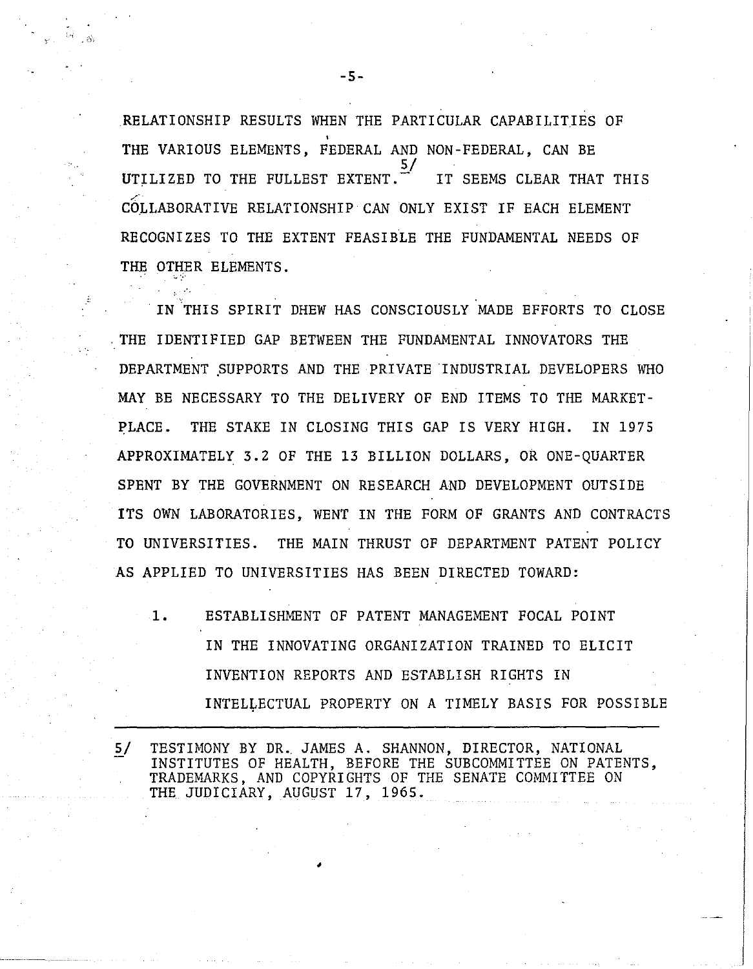RELATIONSHIP RESULTS WHEN THE PARTICULAR CAPABILITIES OF THE VARIOUS ELEMENTS, FEDERAL AND NON-FEDERAL, CAN BE  $\overline{5/}$ UTILIZED TO THE FULLEST EXTENT. IT SEEMS CLEAR THAT THIS COLLABORATIVE RELATIONSHIP CAN ONLY EXIST IF EACH ELEMENT RECOGNIZES TO THE EXTENT FEASIBLE THE FUNDAMENTAL NEEDS OF THE OTHER ELEMENTS .

. IN THIS SPIRIT DHEW HAS CONSCIOUSLY MADE EFFORTS TO CLOSE . THE IDENTIFIED GAP BETWEEN THE FUNDAMENTAL INNOVATORS THE DEPARTMENT SUPPORTS AND THE PRIVATE INDUSTRIAL DEVELOPERS WHO MAY BE NECESSARY TO THE DELIVERY OF END ITEMS TO THE MARKET-PLACE. THE STAKE IN CLOSING THIS GAP IS VERY HIGH. IN 1975 APPROXIMATELY 3.2 OF THE 13 BILLION DOLLARS, OR ONE-QUARTER SPENT BY THE GOVERNMENT ON RESEARCH AND DEVELOPMENT OUTSIDE ITS OWN LABORATORIES, WENT IN THE FORM OF GRANTS AND CONTRACTS TO UNIVERSITIES. THE MAIN THRUST OF DEPARTMENT PATENT POLICY AS APPLIED TO UNIVERSITIES HAS BEEN DIRECTED TOWARD:

1. ESTABLISHMENT OF PATENT MANAGEMENT FOCAL POINT IN THE INNOVATING ORGANIZATION TRAINED TO ELICIT INVENTION REPORTS AND ESTABLISH RIGHTS IN INTELLECTUAL PROPERTY ON A TIMELY BASIS FOR POSSIBLE

5/ TESTIMONY BY DR. JAMES A. SHANNON, DIRECTOR, NATIONAL INSTITUTES OF HEALTH, BEFORE THE SUBCOMMITTEE ON PATENTS, TRADEMARKS, AND COPYRIGHTS OF THE SENATE COMMITTEE ON THE JUDICIARY, AUGUST 17, 1965 .

•

**-5-**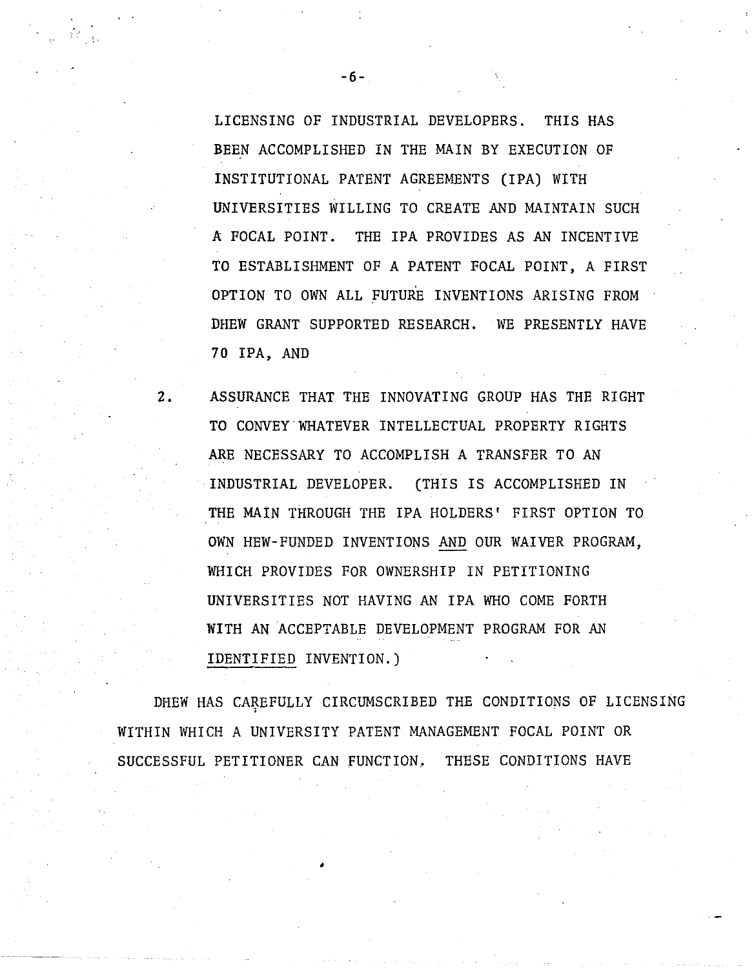LICENSING OF INDUSTRIAL DEVELOPERS. THIS HAS BEEN ACCOMPLISHED IN THE MAIN BY EXECUTION OF INSTITUTIONAL PATENT AGREEMENTS (IPA) WITH UNIVERSITIES WILLING TO CREATE AND MAINTAIN SUCH A FOCAL POINT. THE IPA PROVIDES AS AN INCENTIVE TO ESTABLISHMENT OF A PATENT FOCAL POINT, A FIRST OPTION TO OWN ALL FUTURE INVENTIONS ARISING FROM DHEW GRANT SUPPORTED RESEARCH. WE PRESENTLY HAVE **70** IPA, AND

**2.** ASSURANCE THAT THE INNOVATING GROUP HAS THE RIGHT TO CONVEY WHATEVER INTELLECTUAL PROPERTY RIGHTS ARE NECESSARY TO ACCOMPLISH A TRANSFER TO AN INDUSTRIAL DEVELOPER. (THIS IS ACCOMPLISHED IN THE MAIN THROUGH THE IPA HOLDERS' FIRST OPTION TO OWN HEW-FUNDED INVENTIONS AND OUR WAIVER PROGRAM, WHICH PROVIDES FOR OWNERSHIP IN PETITIONING UNIVERSITIES NOT HAVING AN IPA WHO COME FORTH WITH AN ACCEPTABLE DEVELOPMENT PROGRAM FOR AN IDENTIFIED INVENTION.)

DHEW HAS CAREFULLY CIRCUMSCRIBED THE CONDITIONS OF LICENSING WITHIN WHICH A UNIVERSITY PATENT MANAGEMENT FOCAL POINT OR SUCCESSFUL PETITIONER CAN FUNCTION. THESE CONDITIONS HAVE

•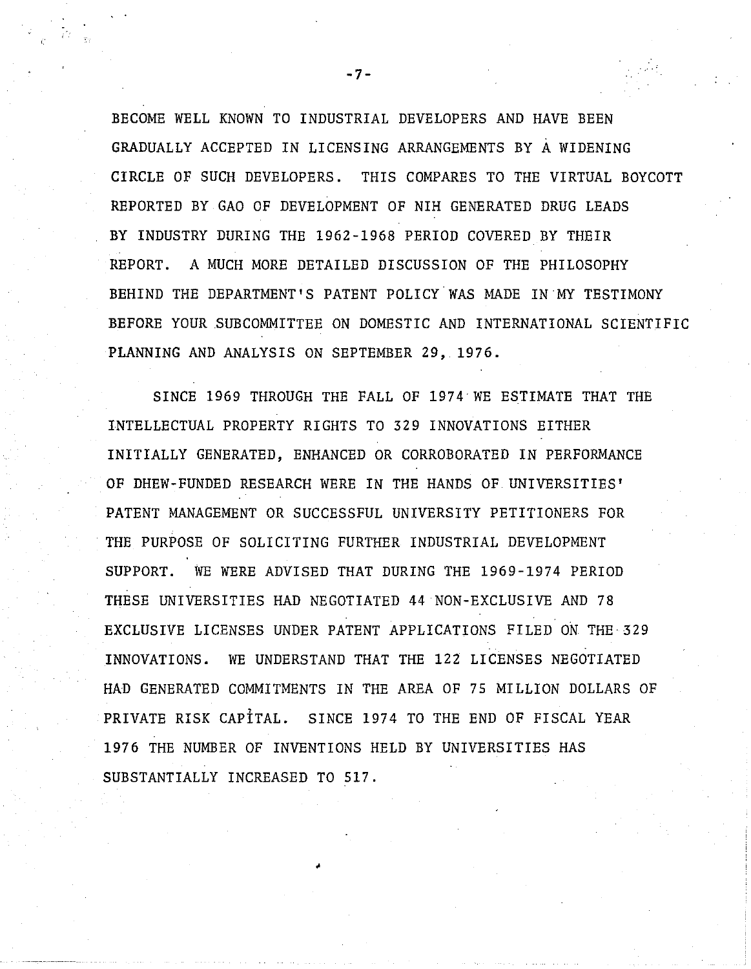BECOME WELL KNOWN TO INDUSTRIAL DEVELOPERS AND HAVE BEEN GRADUALLY ACCEPTED IN LICENSING ARRANGEMENTS BY A WIDENING CIRCLE OF SUCH DEVELOPERS. THIS COMPARES TO THE VIRTUAL BOYCOTT REPORTED BY GAO OF DEVELOPMENT OF NIH GENERATED DRUG LEADS BY INDUSTRY DURING THE 1962-1968 PERIOD COVERED BY THEIR REPORT. A MUCH MORE DETAILED DISCUSSION OF THE PHILOSOPHY BEHIND THE DEPARTMENT'S PATENT POLICY WAS MADE IN MY TESTIMONY BEFORE YOUR SUBCOMMITTEE ON DOMESTIC AND INTERNATIONAL SCIENTIFIC PLANNING AND ANALYSIS ON SEPTEMBER 29, 1976.

SINCE 1969 THROUGH THE FALL OF 1974 WE ESTIMATE THAT THE INTELLECTUAL PROPERTY RIGHTS TO 329 INNOVATIONS EITHER INITIALLY GENERATED, ENHANCED OR CORROBORATED IN PERFORMANCE OF DHEW-FUNDED RESEARCH WERE IN THE HANDS OF UNIVERSITIES' PATENT MANAGEMENT OR SUCCESSFUL UNIVERSITY PETITIONERS FOR . THE PURPOSE OF SOLICITING FURTHER INDUSTRIAL DEVELOPMENT SUPPORT. WE WERE ADVISED THAT DURING THE 1969-1974 PERIOD THESE UNIVERSITIES HAD NEGOTIATED 44 NON-EXCLUSIVE AND 78 EXCLUSIVE LICENSES UNDER PATENT APPLICATIONS FILED ON THE· 329 INNOVATIONS. WE UNDERSTAND THAT THE 122 LICENSES NEGOTIATED HAD GENERATED COMMITMENTS IN THE AREA OF 75 MILLION DOLLARS OF PRIVATE RISK CAPITAL. SINCE 1974 TO THE END OF FISCAL YEAR 1976 THE NUMBER OF INVENTIONS HELD BY UNIVERSITIES HAS SUBSTANTIALLY INCREASED TO 517 .

•

**-7-**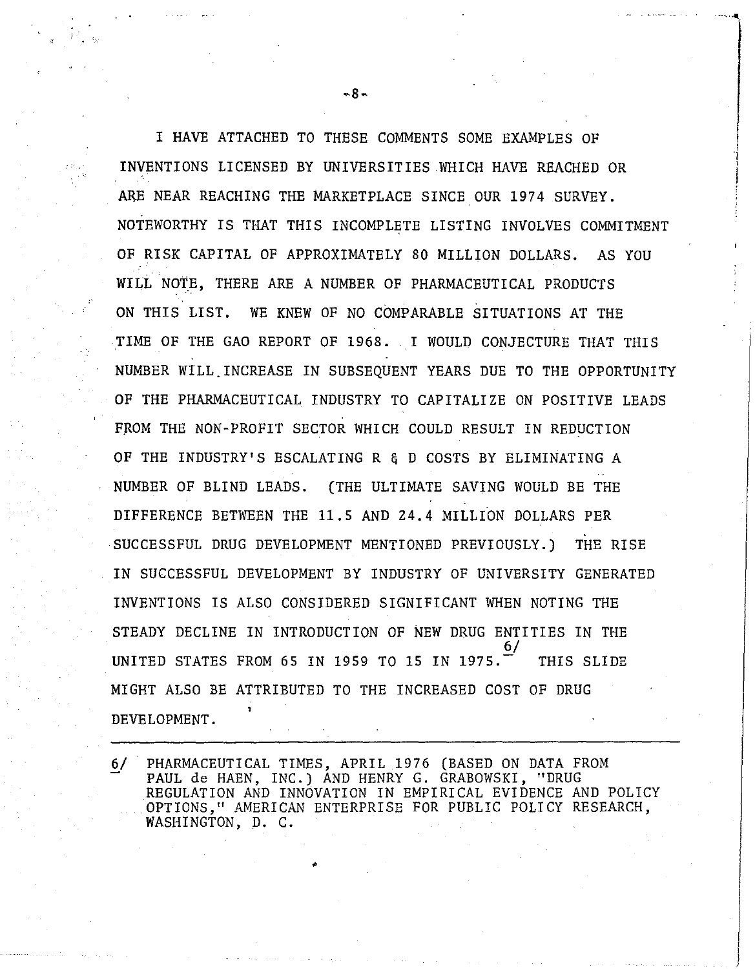I HAVE ATTACHED TO THESE COMMENTS SOME EXAMPLES OF INVENTIONS LICENSED BY UNIVERSITIES WHICH HAVE REACHED OR ARE NEAR REACHING THE MARKETPLACE SINCE OUR 1974 SURVEY. NOTEWORTHY IS THAT THIS INCOMPLETE LISTING INVOLVES COMMITMENT OF RISK CAPITAL OF APPROXIMATELY 80 MILLION DOLLARS. AS YOU WILL NOTE, THERE ARE A NUMBER OF PHARMACEUTICAL PRODUCTS ON THIS LIST. WE KNEW OF NO COMPARABLE SITUATIONS AT THE TIME OF THE GAO REPORT OF 1968. I WOULD CONJECTURE THAT THIS NUMBER WILL. INCREASE IN SUBSEQUENT YEARS DUE TO THE OPPORTUNITY OF THE PHARMACEUTICAL INDUSTRY TO CAPITALIZE ON POSITIVE LEADS FROM THE NON-PROFIT SECTOR WHICH COULD RESULT IN REDUCTION OF THE INDUSTRY'S ESCALATING R&D COSTS BY ELIMINATING A NUMBER OF BLIND LEADS. (THE ULTIMATE SAVING WOULD BE THE DIFFERENCE BETWEEN THE 11.5 AND 24.4 MILLION DOLLARS PER SUCCESSFUL DRUG DEVELOPMENT MENTIONED PREVIOUSLY.) THE RISE IN SUCCESSFUL DEVELOPMENT BY INDUSTRY OF UNIVERSITY GENERATED INVENTIONS IS ALSO CONSIDERED SIGNIFICANT WHEN NOTING THE STEADY DECLINE IN INTRODUCTION OF NEW DRUG ENTITIES IN THE  $\overline{6/}$ UNITED STATES FROM 65 IN 1959 TO 15 IN 1975.  $\overline{ }$  THIS SLIDE MIGHT ALSO BE ATTRIBUTED TO THE INCREASED COST OF DRUG DEVELOPMENT.

 $6/$ PHARMACEUTICAL TIMES, APRIL 1976 (BASED ON DATA FROM PAUL de HAEN, INC.) AND HENRY G. GRABOWSKI, "DRUG REGULATION AND INNOVATION IN EMPIRICAL EVIDENCE AND POLICY OPTIONS," AMERICAN ENTERPRISE FOR PUBLIC POLICY RESEARCH, WASHINGTON, D. C.

•

 $-8-$ 

'-', **.....**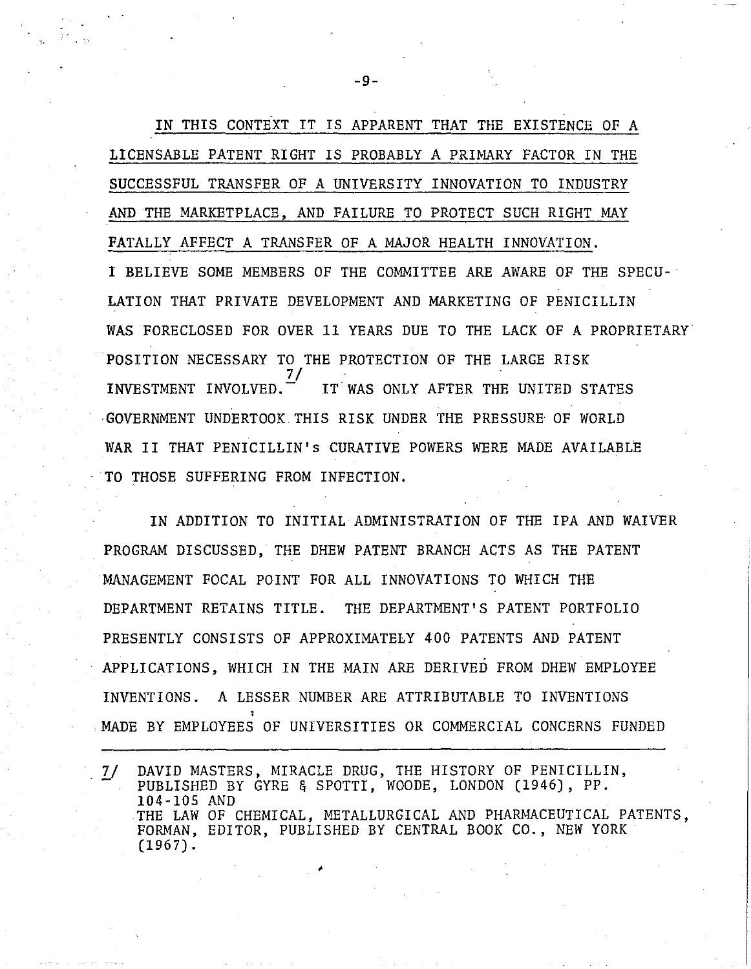**IN** THIS CONTEXT IT IS APPARENT THAT THE EXISTENCE OF A LICENSABLE PATENT RIGHT IS PROBABLY A PRIMARY FACTOR IN THE SUCCESSFUL TRANSFER OF A UNIVERSITY INNOVATION TO INDUSTRY AND THE MARKETPLACE, AND FAILURE TO PROTECT SUCH RIGHT MAY FATALLY AFFECT A TRANSFER OF A MAJOR HEALTH INNOVATION. I BELIEVE SOME MEMBERS OF THE COMMITTEE ARE AWARE OF THE SPECU-LATION THAT PRIVATE DEVELOPMENT AND MARKETING OF PENICILLIN WAS FORECLOSED FOR OVER 11 YEARS DUE TO THE LACK OF A PROPRIETARY POSITION NECESSARY TO THE PROTECTION OF THE LARGE RISK  $\frac{7}{2}$ / INVESTMENT INVOLVED. $\vec{r}$  IT WAS ONLY AFTER THE UNITED STATES ·GOVERNMENT UNDERTOOK. THIS RISK UNDER THE PRESSURE OF WORLD WAR II THAT PENICILLIN's CURATIVE POWERS WERE MADE AVAILABLE TO THOSE SUFFERING FROM INFECTION.

IN ADDITION TO INITIAL ADMINISTRATION OF THE IPA AND WAIVER PROGRAM DISCUSSED, THE DHEW PATENT BRANCH ACTS AS THE PATENT MANAGEMENT FOCAL POINT FOR ALL INNOVATIONS TO WHICH THE DEPARTMENT RETAINS TITLE. THE DEPARTMENT'S PATENT PORTFOLIO PRESENTLY CONSISTS OF APPROXIMATELY 400 PATENTS AND PATENT APPLICATIONS, WHICH IN THE MAIN ARE DERIVED FROM DHEW EMPLOYEE INVENTIONS. A LESSER NUMBER ARE ATTRIBUTABLE TO INVENTIONS MADE BY EMPLOYEES OF UNIVERSITIES OR COMMERCIAL CONCERNS FUNDED

DAVID MASTERS, MIRACLE DRUG, THE HISTORY OF PENICILLIN,  $7/$ PUBLISHED BY GYRE & SPOTTI, WOODE, LONDON (1946), PP. 104-105 AND THE LAW OF CHEMICAL, METALLURGICAL AND PHARMACEUTICAL PATENTS, FORMAN, EDITOR, PUBLISHED BY CENTRAL BOOK CO., NEW YORK (1967) .

**-9-**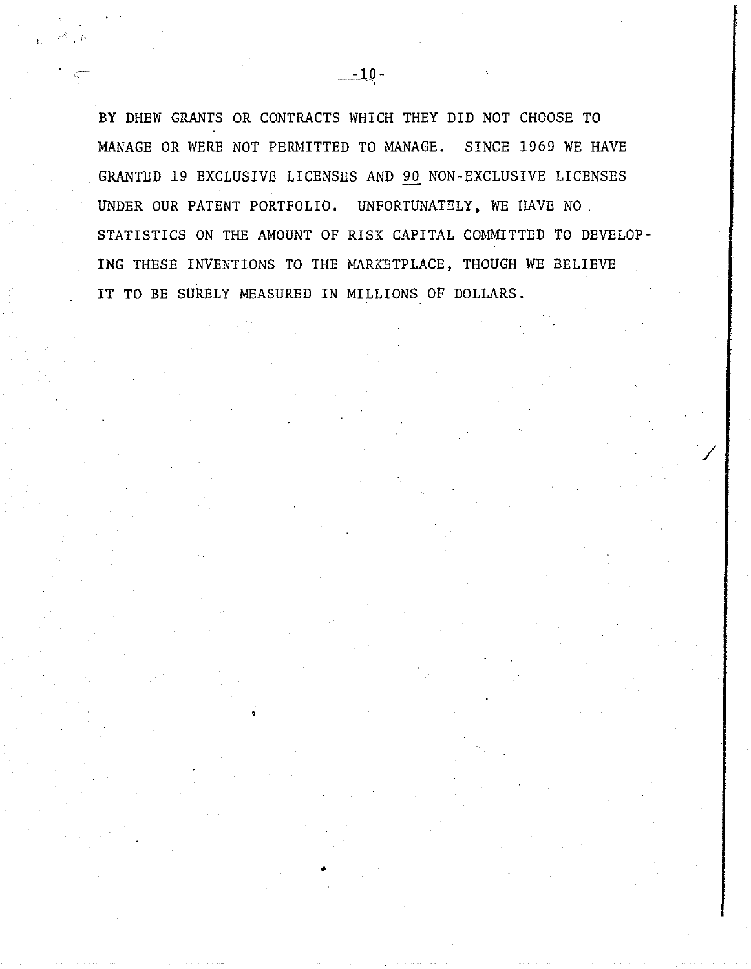BY DHEW GRANTS OR CONTRACTS WHICH THEY DID NOT CHOOSE TO MANAGE OR WERE NOT PERMITTED TO MANAGE. SINCE 1969 WE HAVE GRANTED 19 EXCLUSIVE LICENSES AND 90 NON-EXCLUSIVE LICENSES UNDER OUR PATENT PORTFOLIO. UNFORTUNATELY, WE HAVE NO. STATISTICS ON THE AMOUNT OF RISK CAPITAL COMMITTED TO DEVELOP-ING THESE INVENTIONS TO THE MARKETPLACE, THOUGH WE BELIEVE IT TO BE SURELY MEASURED IN MILLIONS OF DOLLARS.

/

•

**-1Q-**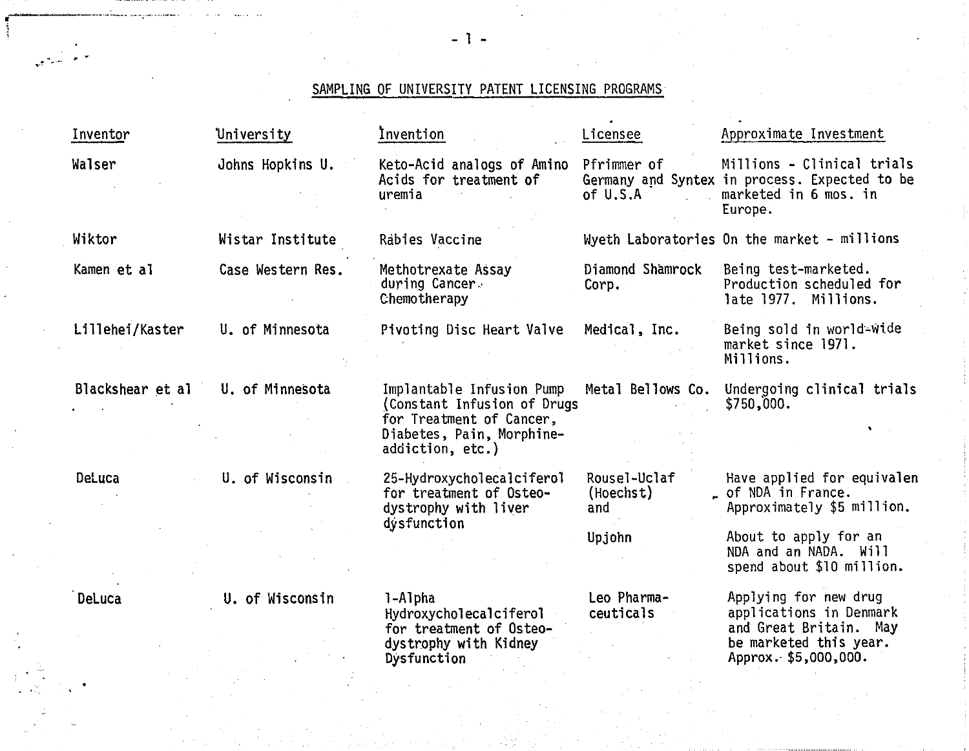## SAMPLING OF UNIVERSITY PATENT LICENSING PROGRAMS

| Inventor         | University                              | Invention                                                                                                                             | Licensee                         | Approximate Investment                                                                                                       |
|------------------|-----------------------------------------|---------------------------------------------------------------------------------------------------------------------------------------|----------------------------------|------------------------------------------------------------------------------------------------------------------------------|
| Walser           | Johns Hopkins U.                        | Keto-Acid analogs of Amino<br>Acids for treatment of<br>uremia                                                                        | Pfrimmer of<br>of U.S.A          | Millions - Clinical trials<br>Germany and Syntex in process. Expected to be<br>marketed in 6 mos. in<br>Europe.              |
| Wiktor           | Wistar Institute                        | Rabies Vaccine                                                                                                                        |                                  | Wyeth Laboratories On the market - millions                                                                                  |
| Kamen et al      | Case Western Res.                       | Methotrexate Assay<br>during Cancer.<br>Chemotherapy                                                                                  | Diamond Shamrock<br>Corp.        | Being test-marketed.<br>Production scheduled for<br>late 1977. Millions.                                                     |
| Lillehei/Kaster  | U. of Minnesota                         | Pivoting Disc Heart Valve                                                                                                             | Medical, Inc.                    | Being sold in world-wide<br>market since 1971.<br>Millions.                                                                  |
| Blackshear et al | U. of Minnesota                         | Implantable Infusion Pump<br>(Constant Infusion of Drugs<br>for Treatment of Cancer,<br>Diabetes, Pain, Morphine-<br>addiction, etc.) | Metal Bellows Co.                | Undergoing clinical trials<br>\$750,000.                                                                                     |
| DeLuca           | U. of Wisconsin<br>dystrophy with liver | 25-Hydroxycholecalciferol<br>for treatment of Osteo-                                                                                  | Rousel-Uclaf<br>(Hoechst)<br>and | Have applied for equivalen<br>. of NDA in France.<br>Approximately \$5 million.                                              |
|                  |                                         | dysfunction                                                                                                                           | Upjohn                           | About to apply for an<br>NDA and an NADA. Will<br>spend about \$10 million.                                                  |
| DeLuca           | U. of Wisconsin                         | 1-Alpha<br>Hydroxycholecalciferol<br>for treatment of Osteo-<br>dystrophy with Kidney<br>Dysfunction                                  | Leo Pharma-<br>ceuticals         | Applying for new drug<br>applications in Denmark<br>and Great Britain. May<br>be marketed this year.<br>Approx. \$5,000,000. |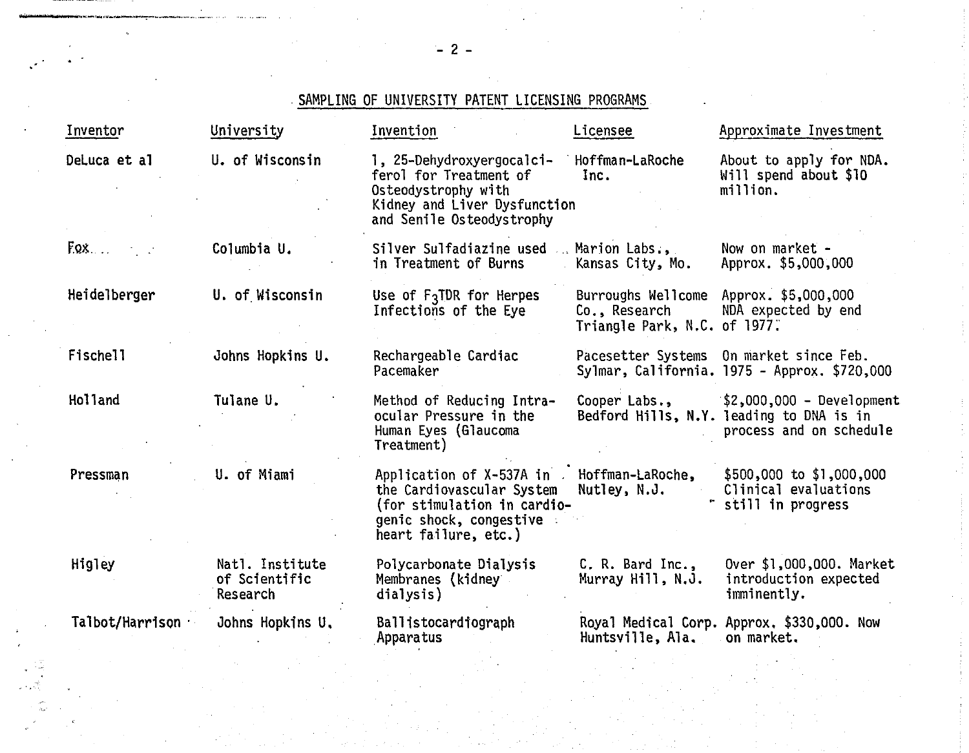## SAMPLING OF UNIVERSITY PATENT LICENSING PROGRAMS

| Inventor        | University                                   | Invention                                                                                                                               | Licensee                                      | Approximate Investment                                                                                          |
|-----------------|----------------------------------------------|-----------------------------------------------------------------------------------------------------------------------------------------|-----------------------------------------------|-----------------------------------------------------------------------------------------------------------------|
| DeLuca et al    | U. of Wisconsin                              | 1, 25-Dehydroxyergocalci-<br>ferol for Treatment of<br>Osteodystrophy with<br>Kidney and Liver Dysfunction<br>and Senile Osteodystrophy | Hoffman-LaRoche<br>Inc.                       | About to apply for NDA.<br>Will spend about \$10<br>million.                                                    |
| $E_{.}$         | Columbia U.                                  | Silver Sulfadiazine used<br>in Treatment of Burns                                                                                       | Marion Labs<br>Kansas City, Mo.               | Now on market -<br>Approx. \$5,000,000                                                                          |
| Heidelberger    | U. of Wisconsin                              | Use of $F_3$ TDR for Herpes<br>Infections of the Eye                                                                                    | Co., Research<br>Triangle Park, N.C. of 1977. | Burroughs Wellcome Approx. \$5,000,000<br>NDA expected by end                                                   |
| Fischell        | Johns Hopkins U.                             | Rechargeable Cardiac<br>Pacemaker                                                                                                       |                                               | Pacesetter Systems On market since Feb.<br>Sylmar, California. 1975 - Approx. \$720,000                         |
| Holland         | Tulane U.                                    | Method of Reducing Intra-<br>ocular Pressure in the<br>Human Eyes (Glaucoma<br>Treatment)                                               |                                               | Cooper Labs., $$2,000,000 - Development$<br>Bedford Hills, N.Y. leading to DNA is in<br>process and on schedule |
| Pressman        | U. of Miami                                  | Application of X-537A in<br>the Cardiovascular System<br>(for stimulation in cardio-<br>genic shock, congestive<br>heart failure, etc.) | Hoffman-LaRoche,<br>Nutley, N.J.              | $$500,000$ to \$1,000,000<br>Clinical evaluations<br>still in progress                                          |
| Higley          | Natl. Institute<br>of Scientific<br>Research | Polycarbonate Dialysis<br>Membranes (kidney<br>dialysis)                                                                                | C. R. Bard Inc.,<br>Murray Hill, N.J.         | Over \$1,000,000. Market<br>introduction expected<br>imminently.                                                |
| Talbot/Harrison | Johns Hopkins U.                             | Ballistocardiograph<br><b>Apparatus</b>                                                                                                 | Huntsville, Ala.                              | Royal Medical Corp. Approx. \$330,000. Now<br>on market.                                                        |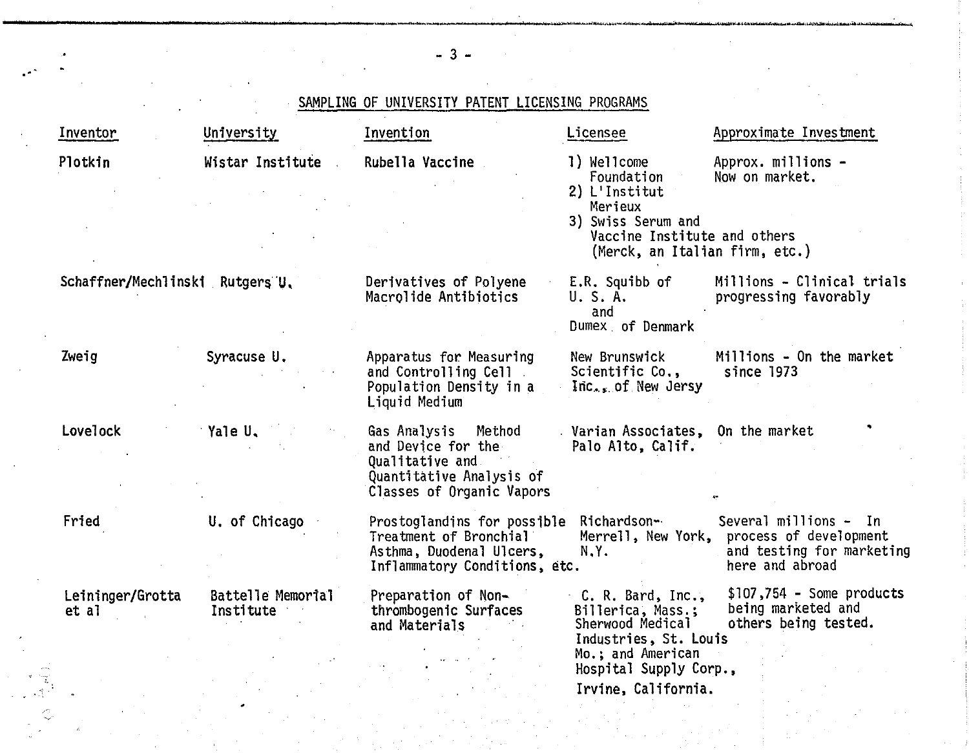| Inventor                        | University                     | Invention                                                                                                             | Licensee                                                                                                                                      | Approximate Investment                                                                                             |
|---------------------------------|--------------------------------|-----------------------------------------------------------------------------------------------------------------------|-----------------------------------------------------------------------------------------------------------------------------------------------|--------------------------------------------------------------------------------------------------------------------|
| Plotkin                         | Wistar Institute               | Rubella Vaccine                                                                                                       | 1) Wellcome<br>Foundation<br>2) L'Institut<br>Merieux<br>3) Swiss Serum and<br>Vaccine Institute and others<br>(Merck, an Italian firm, etc.) | Approx. millions -<br>Now on market.                                                                               |
| Schaffner/Mechlinski Rutgers U. |                                | Derivatives of Polyene<br>Macrolide Antibiotics                                                                       | E.R. Squibb of<br>U.S.A.<br>and<br>Dumex of Denmark                                                                                           | Millions - Clinical trials<br>progressing favorably                                                                |
| Zweig                           | Syracuse U.                    | Apparatus for Measuring<br>and Controlling Cell<br>Population Density in a<br>Liquid Medium                           | New Brunswick<br>Scientific Co.,<br>Inc., of New Jersy                                                                                        | Millions - On the market<br>since 1973                                                                             |
| Lovelock                        | Yale U.                        | Gas Analysis Method<br>and Device for the<br>Qualitative and<br>Quantitative Analysis of<br>Classes of Organic Vapors | Varian Associates, On the market<br>Palo Alto, Calif.                                                                                         |                                                                                                                    |
| Fried                           | U. of Chicago                  | Prostoglandins for possible<br>Treatment of Bronchial<br>Asthma, Duodenal Ulcers,<br>Inflammatory Conditions, etc.    | Richardson <del>-</del><br>N.Y.                                                                                                               | Several millions - In<br>Merrell, New York, process of development<br>and testing for marketing<br>here and abroad |
| Leininger/Grotta<br>et al       | Battelle Memorial<br>Institute | Preparation of Non-<br>thrombogenic Surfaces<br>and Materials                                                         | C. R. Bard, Inc.,<br>Billerica, Mass.;<br>Sherwood Medical<br>Industries, St. Louis<br>Mo.; and American<br>Hospital Supply Corp.,            | $$107,754$ - Some products<br>being marketed and<br>others being tested.                                           |

 $- 3 -$ 

\_\_\_\_\_\_\_\_\_\_\_\_\_\_\_\_\_\_\_\_\_\_\_\_\_\_\_\_\_ .... \_\_\_\_\_\_\_\_\_\_\_ "'., ............. \_ .... \_\_\_ - ............. \_~,,;/""'IoIioO~ ...... L-".'-•.• -.~